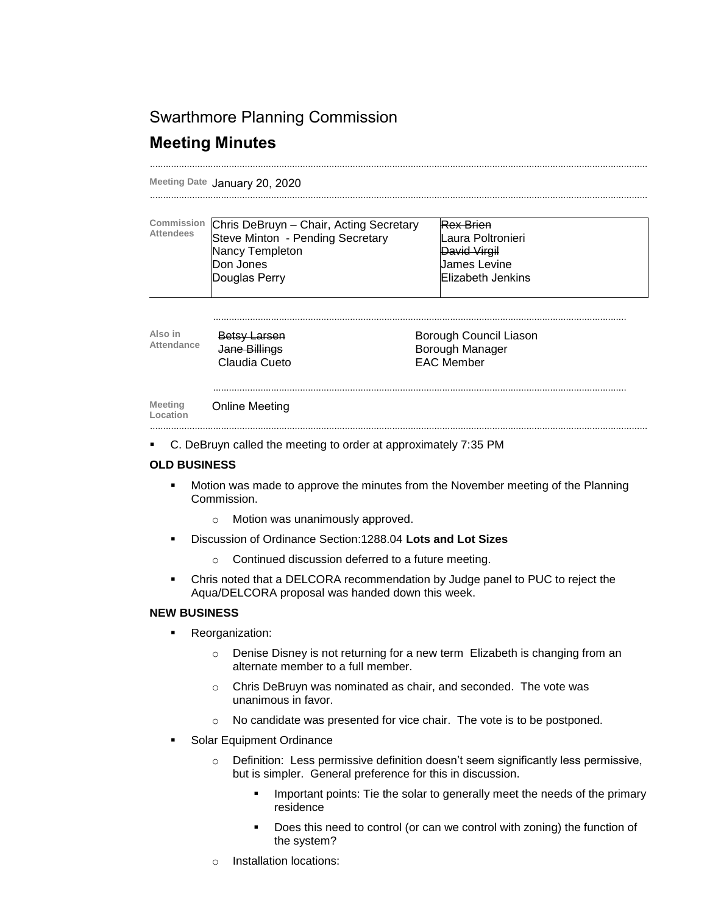## Swarthmore Planning Commission

# **Meeting Minutes**

**Meeting Date** January 20, 2020

| Commission<br><b>Attendees</b> | Chris DeBruyn - Chair, Acting Secretary<br>Steve Minton - Pending Secretary<br>Nancy Templeton<br>Don Jones<br>Douglas Perry | <b>Rex Brien</b><br>Laura Poltronieri<br>David Virgil<br>James Levine<br><b>Elizabeth Jenkins</b> |  |
|--------------------------------|------------------------------------------------------------------------------------------------------------------------------|---------------------------------------------------------------------------------------------------|--|
| Also in<br>Attendance          | <b>Betsy Larsen</b><br>Jane Billings<br>Claudia Cueto                                                                        | Borough Council Liason<br>Borough Manager<br><b>EAC Member</b>                                    |  |
| <b>Meeting</b><br>Location     | Online Meeting                                                                                                               |                                                                                                   |  |

.............................................................................................................................................................................................

C. DeBruyn called the meeting to order at approximately 7:35 PM

### **OLD BUSINESS**

- **Motion was made to approve the minutes from the November meeting of the Planning** Commission.
	- o Motion was unanimously approved.
- Discussion of Ordinance Section:1288.04 **Lots and Lot Sizes**
	- o Continued discussion deferred to a future meeting.
- Chris noted that a DELCORA recommendation by Judge panel to PUC to reject the Aqua/DELCORA proposal was handed down this week.

### **NEW BUSINESS**

- **Reorganization:** 
	- o Denise Disney is not returning for a new term Elizabeth is changing from an alternate member to a full member.
	- o Chris DeBruyn was nominated as chair, and seconded. The vote was unanimous in favor.
	- o No candidate was presented for vice chair. The vote is to be postponed.
- Solar Equipment Ordinance
	- o Definition: Less permissive definition doesn't seem significantly less permissive, but is simpler. General preference for this in discussion.
		- Important points: Tie the solar to generally meet the needs of the primary residence
		- Does this need to control (or can we control with zoning) the function of the system?
	- o Installation locations: